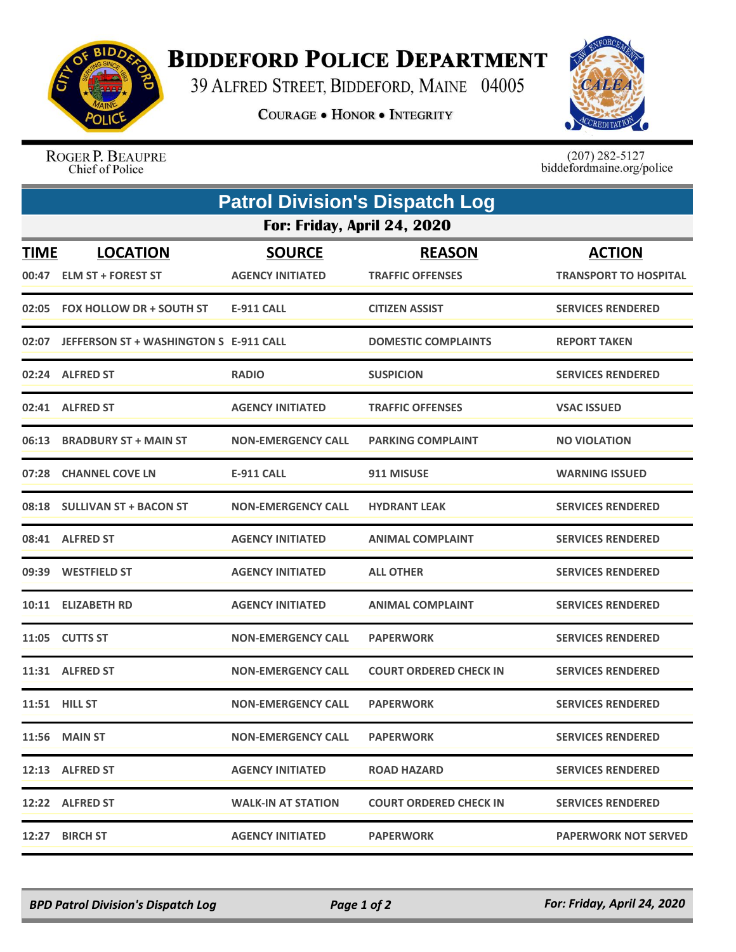

## **BIDDEFORD POLICE DEPARTMENT**

39 ALFRED STREET, BIDDEFORD, MAINE 04005

**COURAGE . HONOR . INTEGRITY** 



ROGER P. BEAUPRE Chief of Police

 $(207)$  282-5127<br>biddefordmaine.org/police

| <b>Patrol Division's Dispatch Log</b> |                                              |                                          |                                          |                                               |  |  |  |
|---------------------------------------|----------------------------------------------|------------------------------------------|------------------------------------------|-----------------------------------------------|--|--|--|
| For: Friday, April 24, 2020           |                                              |                                          |                                          |                                               |  |  |  |
| <b>TIME</b>                           | <b>LOCATION</b><br>00:47 ELM ST + FOREST ST  | <b>SOURCE</b><br><b>AGENCY INITIATED</b> | <b>REASON</b><br><b>TRAFFIC OFFENSES</b> | <b>ACTION</b><br><b>TRANSPORT TO HOSPITAL</b> |  |  |  |
|                                       | 02:05 FOX HOLLOW DR + SOUTH ST               | E-911 CALL                               | <b>CITIZEN ASSIST</b>                    | <b>SERVICES RENDERED</b>                      |  |  |  |
|                                       | 02:07 JEFFERSON ST + WASHINGTON S E-911 CALL |                                          | <b>DOMESTIC COMPLAINTS</b>               | <b>REPORT TAKEN</b>                           |  |  |  |
|                                       | 02:24 ALFRED ST                              | <b>RADIO</b>                             | <b>SUSPICION</b>                         | <b>SERVICES RENDERED</b>                      |  |  |  |
|                                       | 02:41 ALFRED ST                              | <b>AGENCY INITIATED</b>                  | <b>TRAFFIC OFFENSES</b>                  | <b>VSAC ISSUED</b>                            |  |  |  |
|                                       | 06:13 BRADBURY ST + MAIN ST                  | <b>NON-EMERGENCY CALL</b>                | <b>PARKING COMPLAINT</b>                 | <b>NO VIOLATION</b>                           |  |  |  |
|                                       | 07:28 CHANNEL COVE LN                        | <b>E-911 CALL</b>                        | 911 MISUSE                               | <b>WARNING ISSUED</b>                         |  |  |  |
|                                       | 08:18 SULLIVAN ST + BACON ST                 | <b>NON-EMERGENCY CALL</b>                | <b>HYDRANT LEAK</b>                      | <b>SERVICES RENDERED</b>                      |  |  |  |
|                                       | 08:41 ALFRED ST                              | <b>AGENCY INITIATED</b>                  | <b>ANIMAL COMPLAINT</b>                  | <b>SERVICES RENDERED</b>                      |  |  |  |
|                                       | 09:39 WESTFIELD ST                           | <b>AGENCY INITIATED</b>                  | <b>ALL OTHER</b>                         | <b>SERVICES RENDERED</b>                      |  |  |  |
|                                       | 10:11 ELIZABETH RD                           | <b>AGENCY INITIATED</b>                  | <b>ANIMAL COMPLAINT</b>                  | <b>SERVICES RENDERED</b>                      |  |  |  |
|                                       | 11:05 CUTTS ST                               | <b>NON-EMERGENCY CALL</b>                | <b>PAPERWORK</b>                         | <b>SERVICES RENDERED</b>                      |  |  |  |
|                                       | 11:31 ALFRED ST                              | <b>NON-EMERGENCY CALL</b>                | <b>COURT ORDERED CHECK IN</b>            | <b>SERVICES RENDERED</b>                      |  |  |  |
|                                       | 11:51 HILL ST                                | <b>NON-EMERGENCY CALL</b>                | <b>PAPERWORK</b>                         | <b>SERVICES RENDERED</b>                      |  |  |  |
|                                       | <b>11:56 MAIN ST</b>                         | <b>NON-EMERGENCY CALL</b>                | <b>PAPERWORK</b>                         | <b>SERVICES RENDERED</b>                      |  |  |  |
|                                       | 12:13 ALFRED ST                              | <b>AGENCY INITIATED</b>                  | <b>ROAD HAZARD</b>                       | <b>SERVICES RENDERED</b>                      |  |  |  |
|                                       | 12:22 ALFRED ST                              | <b>WALK-IN AT STATION</b>                | <b>COURT ORDERED CHECK IN</b>            | <b>SERVICES RENDERED</b>                      |  |  |  |
|                                       | 12:27 BIRCH ST                               | <b>AGENCY INITIATED</b>                  | <b>PAPERWORK</b>                         | <b>PAPERWORK NOT SERVED</b>                   |  |  |  |